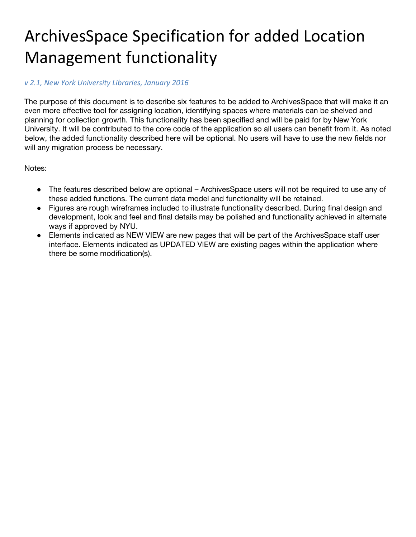# ArchivesSpace Specification for added Location Management functionality

### *v 2.1, New York University Libraries, January 2016*

The purpose of this document is to describe six features to be added to ArchivesSpace that will make it an even more effective tool for assigning location, identifying spaces where materials can be shelved and planning for collection growth. This functionality has been specified and will be paid for by New York University. It will be contributed to the core code of the application so all users can benefit from it. As noted below, the added functionality described here will be optional. No users will have to use the new fields nor will any migration process be necessary.

Notes:

- The features described below are optional ArchivesSpace users will not be required to use any of these added functions. The current data model and functionality will be retained.
- Figures are rough wireframes included to illustrate functionality described. During final design and development, look and feel and final details may be polished and functionality achieved in alternate ways if approved by NYU.
- Elements indicated as NEW VIEW are new pages that will be part of the ArchivesSpace staff user interface. Elements indicated as UPDATED VIEW are existing pages within the application where there be some modification(s).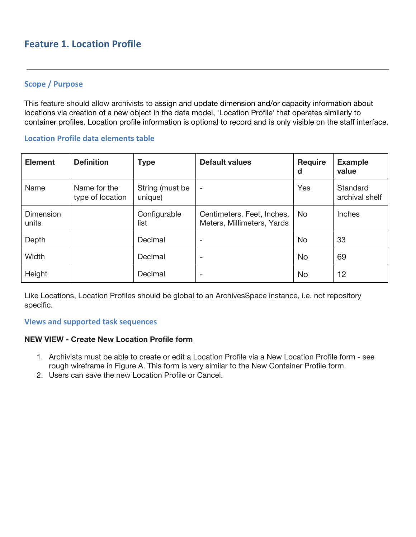# **Feature 1. Location Profile**

## **Scope / Purpose**

This feature should allow archivists to assign and update dimension and/or capacity information about locations via creation of a new object in the data model, 'Location Profile' that operates similarly to container profiles. Location profile information is optional to record and is only visible on the staff interface.

#### **Location Profile data elements table**

| <b>Element</b>     | <b>Definition</b>                | <b>Type</b>                | <b>Default values</b>                                    | <b>Require</b><br>d | <b>Example</b><br>value    |
|--------------------|----------------------------------|----------------------------|----------------------------------------------------------|---------------------|----------------------------|
| Name               | Name for the<br>type of location | String (must be<br>unique) | $\overline{\phantom{a}}$                                 | Yes                 | Standard<br>archival shelf |
| Dimension<br>units |                                  | Configurable<br>list       | Centimeters, Feet, Inches,<br>Meters, Millimeters, Yards | <b>No</b>           | <b>Inches</b>              |
| Depth              |                                  | Decimal                    |                                                          | No                  | 33                         |
| Width              |                                  | Decimal                    | -                                                        | <b>No</b>           | 69                         |
| Height             |                                  | Decimal                    |                                                          | <b>No</b>           | 12                         |

Like Locations, Location Profiles should be global to an ArchivesSpace instance, i.e. not repository specific.

#### **Views and supported task sequences**

#### **NEW VIEW - Create New Location Profile form**

- 1. Archivists must be able to create or edit a Location Profile via a New Location Profile form see rough wireframe in Figure A. This form is very similar to the New Container Profile form.
- 2. Users can save the new Location Profile or Cancel.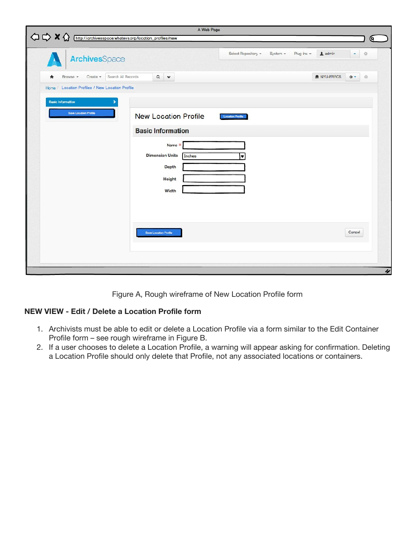| $\Diamond \Diamond \times \Diamond$<br>http://archivesspace.whatevs.org/location_profiles/new<br>ArchivesSpace<br>Search All Records<br>Browse -<br>Create +<br>A<br>Home / Location Profiles / New Location Profile<br><b>Basic Information</b><br><b>Save Location Profile</b> | $\mathbf{a}$<br>$\checkmark$<br><b>New Location Profile</b>                                                                        | Select Repository -<br>System - | Plug-inc -<br>1 admin<br>NYU-FRECS | Q.<br>$\circledcirc$<br>٠<br>$0 -$<br>$\circledcirc$ |
|----------------------------------------------------------------------------------------------------------------------------------------------------------------------------------------------------------------------------------------------------------------------------------|------------------------------------------------------------------------------------------------------------------------------------|---------------------------------|------------------------------------|------------------------------------------------------|
|                                                                                                                                                                                                                                                                                  |                                                                                                                                    |                                 |                                    |                                                      |
|                                                                                                                                                                                                                                                                                  |                                                                                                                                    |                                 |                                    |                                                      |
|                                                                                                                                                                                                                                                                                  | <b>Basic Information</b><br>Name *<br><b>Dimension Units</b><br>Inches<br>Depth<br>Height<br>Width<br><b>Save Location Profile</b> | <b>Location Profile</b><br>▼    |                                    | Cancel                                               |

Figure A, Rough wireframe of New Location Profile form

# **NEW VIEW - Edit / Delete a Location Profile form**

- 1. Archivists must be able to edit or delete a Location Profile via a form similar to the Edit Container Profile form – see rough wireframe in Figure B.
- 2. If a user chooses to delete a Location Profile, a warning will appear asking for confirmation. Deleting a Location Profile should only delete that Profile, not any associated locations or containers.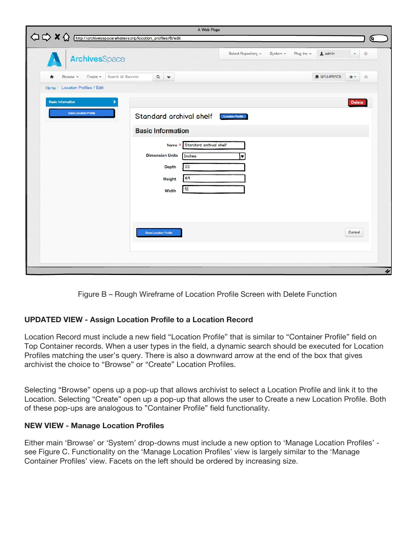| $\begin{array}{ccc}\n\bigcirc & \bigcirc & \times & \bigcirc\n\end{array}$ | http://archivesspace.whatevs.org/location_profiles/6/edit                     | A Web Page                                                                                                                                           | Q.                      |
|----------------------------------------------------------------------------|-------------------------------------------------------------------------------|------------------------------------------------------------------------------------------------------------------------------------------------------|-------------------------|
|                                                                            | ArchivesSpace                                                                 | Select Repository -<br>Plug-inc -<br>$\triangle$ admin<br>System -                                                                                   | $\odot$<br>٠            |
| Ħ                                                                          | Search All Records<br>Browse +<br>Create +<br>Home / Location Profiles / Edit | NYU-FRECS<br>$\Box$<br>$\checkmark$                                                                                                                  | $0 -$<br>$\circledcirc$ |
| <b>Basic Information</b>                                                   | ,<br><b>Save Location Profile</b>                                             | Standard archival shelf<br><b>Location Profile</b>                                                                                                   | <b>Delete</b>           |
|                                                                            |                                                                               | <b>Basic Information</b><br>Standard archival shelf<br>Name *<br><b>Dimension Units</b><br>Inches<br>۰<br>33<br>Depth<br>69<br>Height<br>12<br>Width |                         |
|                                                                            |                                                                               | <b>Save Location Profile</b>                                                                                                                         | Cancel                  |



## **UPDATED VIEW - Assign Location Profile to a Location Record**

Location Record must include a new field "Location Profile" that is similar to "Container Profile" field on Top Container records. When a user types in the field, a dynamic search should be executed for Location Profiles matching the user's query. There is also a downward arrow at the end of the box that gives archivist the choice to "Browse" or "Create" Location Profiles.

Selecting "Browse" opens up a pop-up that allows archivist to select a Location Profile and link it to the Location. Selecting "Create" open up a pop-up that allows the user to Create a new Location Profile. Both of these pop-ups are analogous to "Container Profile" field functionality.

#### **NEW VIEW - Manage Location Profiles**

Either main 'Browse' or 'System' drop-downs must include a new option to 'Manage Location Profiles' see Figure C. Functionality on the 'Manage Location Profiles' view is largely similar to the 'Manage Container Profiles' view. Facets on the left should be ordered by increasing size.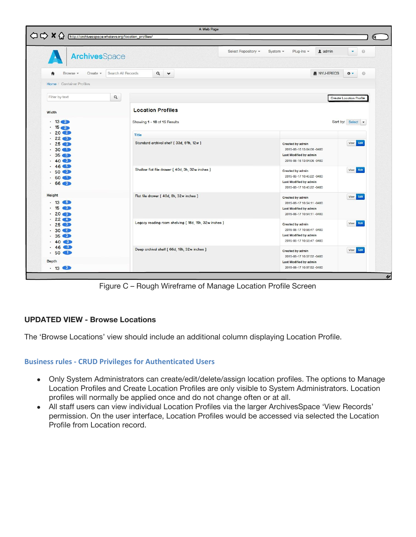| <b>Archives</b> Space                                                                   |                                  |                                                       | Select Repository +<br>System $\sim$<br>Plug-ins $\sim$<br>1 admin<br>۰                                           |  |  |  |  |
|-----------------------------------------------------------------------------------------|----------------------------------|-------------------------------------------------------|-------------------------------------------------------------------------------------------------------------------|--|--|--|--|
| Browse -                                                                                | Search All Records<br>Create $-$ | $\alpha$<br>$\checkmark$                              | NYU-ERECS<br>$\ddot{\Phi}$ -                                                                                      |  |  |  |  |
| Home / Container Profiles                                                               |                                  |                                                       |                                                                                                                   |  |  |  |  |
| Filter by text                                                                          | $\hbox{\tt Q}$                   |                                                       | <b>Create Location Profile</b>                                                                                    |  |  |  |  |
| Width                                                                                   |                                  | <b>Location Profiles</b>                              |                                                                                                                   |  |  |  |  |
| $\cdot$ 13 6<br>$\cdot$ 15                                                              |                                  | Showing 1 - 10 of 15 Results                          | Sort by: Select $\blacktriangleright$                                                                             |  |  |  |  |
| .202                                                                                    |                                  | <b>Title</b>                                          |                                                                                                                   |  |  |  |  |
| .22<br>$\cdot$ 25 $\circ$<br>$.30$ O<br>.35 <sub>6</sub><br>$.40$ (8)                   |                                  | Standard archival shelf [33d, 69h, 12w]               | View Edit<br>Created by admin<br>2015-06-16 13:04:06 -0400<br>Last Modified by admin<br>2015-06-16 13:04:06 -0400 |  |  |  |  |
| $.46 \bullet$<br>$-50$ 3<br>$.60$ O<br>.66 <sub>6</sub>                                 |                                  | Shallow flat file drawer [ 40d, 3h, 32w inches ]      | View Edit<br>Created by admin<br>2015-06-17 10:45:22 -0400<br>Last Modified by admin<br>2015-06-17 10:45:22 -0400 |  |  |  |  |
| Height<br>$.13$ 6<br>$.15$ $3$<br>.20 <sub>3</sub>                                      |                                  | Flat file drawer [ 40d, 8h, 32w inches ]              | View Edit<br>Created by admin<br>2015-06-17 10:54:11 -0400<br>Last Modified by admin<br>2015-06-17 10:54:11 -0400 |  |  |  |  |
|                                                                                         |                                  | Legacy reading room shelving [ 18d, 15h, 32w inches ] | View Edit<br>Created by admin<br>2015-06-17 10:56:47 -0400<br>Last Modified by admin                              |  |  |  |  |
| $.22 -$<br>.25 <sub>6</sub><br>.30 <sup>2</sup><br>.35 <sup>6</sup><br>.40 <sub>6</sub> |                                  |                                                       | 2015-06-17 10:56:47 -0400                                                                                         |  |  |  |  |

Figure C – Rough Wireframe of Manage Location Profile Screen

## **UPDATED VIEW - Browse Locations**

The 'Browse Locations' view should include an additional column displaying Location Profile.

## **Business rules - CRUD Privileges for Authenticated Users**

- Only System Administrators can create/edit/delete/assign location profiles. The options to Manage Location Profiles and Create Location Profiles are only visible to System Administrators. Location profiles will normally be applied once and do not change often or at all.
- All staff users can view individual Location Profiles via the larger ArchivesSpace 'View Records' permission. On the user interface, Location Profiles would be accessed via selected the Location Profile from Location record.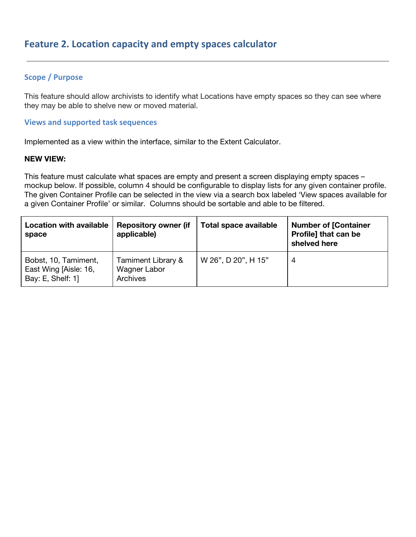# **Scope / Purpose**

This feature should allow archivists to identify what Locations have empty spaces so they can see where they may be able to shelve new or moved material.

#### **Views and supported task sequences**

Implemented as a view within the interface, similar to the Extent Calculator.

#### **NEW VIEW:**

This feature must calculate what spaces are empty and present a screen displaying empty spaces – mockup below. If possible, column 4 should be configurable to display lists for any given container profile. The given Container Profile can be selected in the view via a search box labeled 'View spaces available for a given Container Profile' or similar. Columns should be sortable and able to be filtered.

| <b>Location with available</b><br>space                            | <b>Repository owner (if</b><br>applicable)     | Total space available | <b>Number of [Container</b><br>Profile] that can be<br>shelved here |
|--------------------------------------------------------------------|------------------------------------------------|-----------------------|---------------------------------------------------------------------|
| Bobst, 10, Tamiment,<br>East Wing [Aisle: 16,<br>Bay: E, Shelf: 1] | Tamiment Library &<br>Wagner Labor<br>Archives | W 26", D 20", H 15"   | 4                                                                   |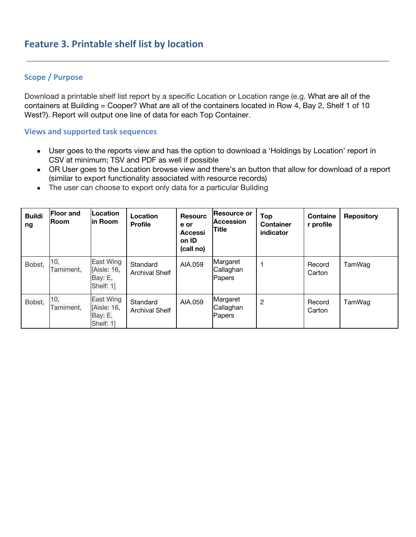# **Scope / Purpose**

Download a printable shelf list report by a specific Location or Location range (e.g. What are all of the containers at Building = Cooper? What are all of the containers located in Row 4, Bay 2, Shelf 1 of 10 West?). Report will output one line of data for each Top Container.

#### **Views and supported task sequences**

- User goes to the reports view and has the option to download a 'Holdings by Location' report in CSV at minimum; TSV and PDF as well if possible
- OR User goes to the Location browse view and there's an button that allow for download of a report (similar to export functionality associated with resource records)
- The user can choose to export only data for a particular Building

| <b>Buildi</b><br>ng | <b>Floor and</b><br><b>Room</b> | Location<br>lin Room                                    | Location<br><b>Profile</b>        | <b>Resourc</b><br>e or<br><b>Accessi</b><br>on ID<br>(call no) | <b>Resource or</b><br><b>Accession</b><br><b>Title</b> | Top<br><b>Container</b><br>indicator | <b>Containe</b><br>r profile | <b>Repository</b> |
|---------------------|---------------------------------|---------------------------------------------------------|-----------------------------------|----------------------------------------------------------------|--------------------------------------------------------|--------------------------------------|------------------------------|-------------------|
| Bobst,              | 10,<br>Tamiment.                | East Wing<br>[Aisle: 16,<br>Bay: E,<br>Shelf: 1]        | Standard<br><b>Archival Shelf</b> | AIA.059                                                        | Margaret<br>Callaghan<br>Papers                        |                                      | Record<br>Carton             | TamWag            |
| Bobst,              | 10,<br>Tamiment,                | <b>East Wing</b><br>[Aisle: 16,<br>Bay: E,<br>Shelf: 11 | Standard<br><b>Archival Shelf</b> | AIA.059                                                        | Margaret<br>Callaghan<br>Papers                        | $\overline{2}$                       | Record<br>Carton             | TamWag            |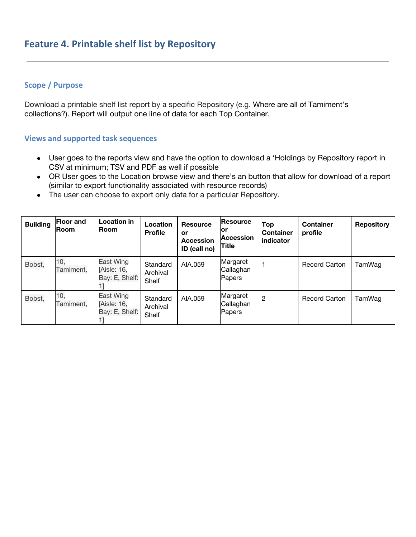# **Scope / Purpose**

Download a printable shelf list report by a specific Repository (e.g. Where are all of Tamiment's collections?). Report will output one line of data for each Top Container.

#### **Views and supported task sequences**

- User goes to the reports view and have the option to download a 'Holdings by Repository report in CSV at minimum; TSV and PDF as well if possible
- OR User goes to the Location browse view and there's an button that allow for download of a report (similar to export functionality associated with resource records)
- The user can choose to export only data for a particular Repository.

| <b>Building</b> | <b>Floor and</b><br><b>Room</b> | <b>Location in</b><br><b>Room</b>          | Location<br><b>Profile</b>    | <b>Resource</b><br>or<br><b>Accession</b><br>ID (call no) | Resource<br>lor<br><b>Accession</b><br><b>Title</b> | <b>Top</b><br><b>Container</b><br>indicator | <b>Container</b><br>profile | <b>Repository</b> |
|-----------------|---------------------------------|--------------------------------------------|-------------------------------|-----------------------------------------------------------|-----------------------------------------------------|---------------------------------------------|-----------------------------|-------------------|
| Bobst,          | 10,<br>Tamiment,                | East Wing<br>[Aisle: 16,<br>Bay: E, Shelf: | Standard<br>Archival<br>Shelf | AIA.059                                                   | Margaret<br>Callaghan<br>Papers                     |                                             | <b>Record Carton</b>        | TamWag            |
| Bobst,          | 10,<br>Tamiment,                | East Wing<br>[Aisle: 16,<br>Bay: E, Shelf: | Standard<br>Archival<br>Shelf | AIA.059                                                   | Margaret<br>Callaghan<br>Papers                     | $\overline{2}$                              | <b>Record Carton</b>        | TamWag            |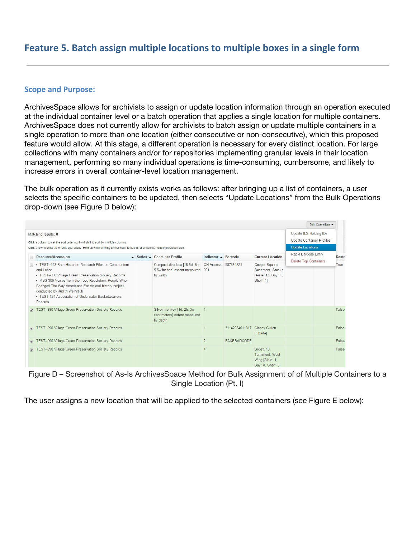# **Feature 5. Batch assign multiple locations to multiple boxes in a single form**

#### **Scope and Purpose:**

ArchivesSpace allows for archivists to assign or update location information through an operation executed at the individual container level or a batch operation that applies a single location for multiple containers. ArchivesSpace does not currently allow for archivists to batch assign or update multiple containers in a single operation to more than one location (either consecutive or non-consecutive), which this proposed feature would allow. At this stage, a different operation is necessary for every distinct location. For large collections with many containers and/or for repositories implementing granular levels in their location management, performing so many individual operations is time-consuming, cumbersome, and likely to increase errors in overall container-level location management.

The bulk operation as it currently exists works as follows: after bringing up a list of containers, a user selects the specific containers to be updated, then selects "Update Locations" from the Bulk Operations drop-down (see Figure D below):

|                                                                                                                                                                                                                                                                                                                                                  |                                                                              |                     |                    |                                                                        | Bulk Operations                                     |        |
|--------------------------------------------------------------------------------------------------------------------------------------------------------------------------------------------------------------------------------------------------------------------------------------------------------------------------------------------------|------------------------------------------------------------------------------|---------------------|--------------------|------------------------------------------------------------------------|-----------------------------------------------------|--------|
| Matching results: 8<br>Click a column to set the sort ordering. Hold shift to sort by multiple columns.                                                                                                                                                                                                                                          |                                                                              |                     |                    |                                                                        | Update ILS Holding IDs<br>Update Container Profiles |        |
| Click a row to select it for bulk operations. Hold alt while clicking a checkbox to select, or unselect, multple previous rows.                                                                                                                                                                                                                  |                                                                              |                     |                    |                                                                        | <b>Update Locations</b>                             |        |
| Resource/Accession                                                                                                                                                                                                                                                                                                                               | ▲ Series ▲ Container Profile                                                 | Indicator - Barcode |                    | <b>Current Location</b>                                                | Rapid Barcode Entry                                 | Restri |
| • TEST--123 Sam Historian Research Files on Communism<br>and Labor<br>• TEST--990 Village Green Preservation Society Records<br>• MSS 309 Voices from the Food Revolution: People Who<br>Changed The Way Americans Eat An oral history project<br>conducted by Judith Weinraub<br>• TEST. 124 Association of Underwater Basketweavers<br>Records | Compact disc box [15.5d, 6h,<br>5.5w inches] extent measured 001<br>by width | OH Access 987654321 |                    | Cooper Square.<br>Basement, Stacks<br>[Aisle: 13, Bay: F,<br>Shelf: 11 | Delete Top Containers                               | True   |
| TEST-990 Village Green Preservation Society Records                                                                                                                                                                                                                                                                                              | Silver monkey [1d, 2h, 3w<br>centimeters] extent measured<br>by depth        |                     |                    |                                                                        |                                                     | False  |
| TEST-990 Village Green Preservation Society Records                                                                                                                                                                                                                                                                                              |                                                                              | $\overline{1}$      | 31142054611317     | Clancy Cullen<br>[Offsite]                                             |                                                     | False  |
| TEST-990 Village Green Preservation Society Records                                                                                                                                                                                                                                                                                              |                                                                              | $\overline{2}$      | <b>FAKEBARCODE</b> |                                                                        |                                                     | False  |
| TEST-990 Village Green Preservation Society Records                                                                                                                                                                                                                                                                                              |                                                                              | $\Delta$            |                    | Bobst. 10.<br>Tamiment, West<br>Wing [Aisle: 1,<br>Bay: A, Shelf: 31   |                                                     | False  |

Figure D – Screenshot of As-Is ArchivesSpace Method for Bulk Assignment of of Multiple Containers to a Single Location (Pt. I)

The user assigns a new location that will be applied to the selected containers (see Figure E below):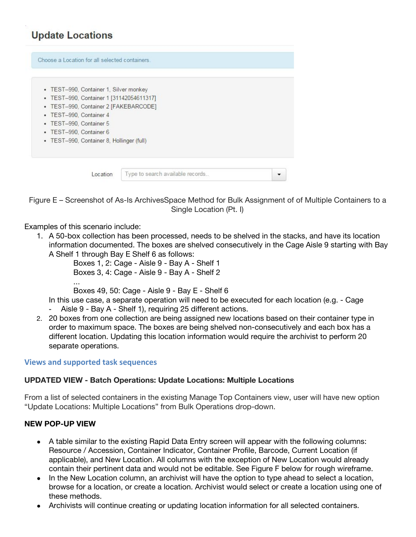# **Update Locations**

| • TEST--990, Container 1, Silver monkey    |  |  |
|--------------------------------------------|--|--|
| • TEST-990, Container 1 [31142054611317]   |  |  |
| • TEST--990, Container 2 [FAKEBARCODE]     |  |  |
| • TEST--990, Container 4                   |  |  |
| • TEST--990, Container 5                   |  |  |
| • TEST--990, Container 6                   |  |  |
| • TEST--990, Container 8, Hollinger (full) |  |  |

Figure E – Screenshot of As-Is ArchivesSpace Method for Bulk Assignment of of Multiple Containers to a Single Location (Pt. I)

Examples of this scenario include:

1. A 50-box collection has been processed, needs to be shelved in the stacks, and have its location information documented. The boxes are shelved consecutively in the Cage Aisle 9 starting with Bay A Shelf 1 through Bay E Shelf 6 as follows:

Boxes 1, 2: Cage - Aisle 9 - Bay A - Shelf 1 Boxes 3, 4: Cage - Aisle 9 - Bay A - Shelf 2 …

Boxes 49, 50: Cage - Aisle 9 - Bay E - Shelf 6

- In this use case, a separate operation will need to be executed for each location (e.g. Cage - Aisle 9 - Bay A - Shelf 1), requiring 25 different actions.
- 2. 20 boxes from one collection are being assigned new locations based on their container type in order to maximum space. The boxes are being shelved non-consecutively and each box has a different location. Updating this location information would require the archivist to perform 20 separate operations.

#### **Views and supported task sequences**

#### **UPDATED VIEW - Batch Operations: Update Locations: Multiple Locations**

From a list of selected containers in the existing Manage Top Containers view, user will have new option "Update Locations: Multiple Locations" from Bulk Operations drop-down.

#### **NEW POP-UP VIEW**

- A table similar to the existing Rapid Data Entry screen will appear with the following columns: Resource / Accession, Container Indicator, Container Profile, Barcode, Current Location (if applicable), and New Location. All columns with the exception of New Location would already contain their pertinent data and would not be editable. See Figure F below for rough wireframe.
- In the New Location column, an archivist will have the option to type ahead to select a location, browse for a location, or create a location. Archivist would select or create a location using one of these methods.
- Archivists will continue creating or updating location information for all selected containers.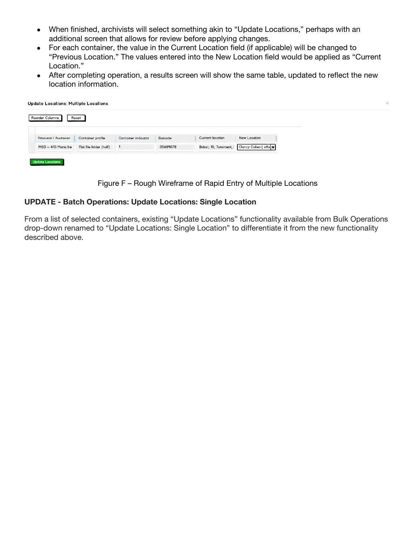- When finished, archivists will select something akin to "Update Locations," perhaps with an additional screen that allows for review before applying changes.
- For each container, the value in the Current Location field (if applicable) will be changed to "Previous Location." The values entered into the New Location field would be applied as "Current Location."
- After completing operation, a results screen will show the same table, updated to reflect the new location information.

| <b>Reorder Columns</b> | Reset                   |                     |          |                         |                                           |  |
|------------------------|-------------------------|---------------------|----------|-------------------------|-------------------------------------------|--|
| Resource / Accession   | Container profile       | Container indicator | Barcode  | <b>Current location</b> | New Location                              |  |
| MSS -- 413 Maria Ire   | Flat file folder (half) |                     | 35489078 | Bobst, 10, Tamiment,    | Clancy Cullen [ offs $\blacktriangledown$ |  |



#### **UPDATE - Batch Operations: Update Locations: Single Location**

From a list of selected containers, existing "Update Locations" functionality available from Bulk Operations drop-down renamed to "Update Locations: Single Location" to differentiate it from the new functionality described above.